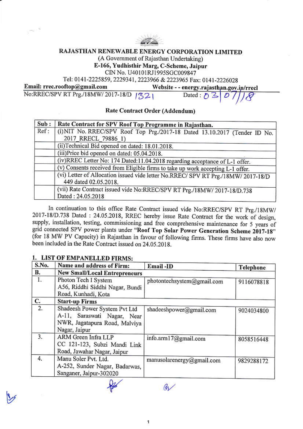

### RAJASTHAN RENEWABLE ENERGY CORPORATION LIMITED

(A Government of Rajasthan Undertaking)

E-166, Yudhisthir Marg, C-Scheme, Jaipur

CIN No. U40101RJ1995SGC009847

Tel: 0141-2225859, 2229341, 2223966 & 2223965 Fax: 0141-2226028

Email: rrec.rooftop@gmail.com No:RREC/SPV RT Prg./18MW/2017-18/D | 321

Website - - energy.rajasthan.gov.in/rrecl Dated :  $\bigwedge$   $\bigwedge$  $\mathcal{D}$ 

# Rate Contract Order (Addendum)

| Sub: | Rate Contract for SPV Roof Top Programme in Rajasthan.                                                     |  |  |  |  |  |
|------|------------------------------------------------------------------------------------------------------------|--|--|--|--|--|
| Ref: | (i) NIT No. RREC/SPV Roof Top Prg./2017-18 Dated 13.10.2017 (Tender ID No.                                 |  |  |  |  |  |
|      | 2017 RRECL 79886 1)                                                                                        |  |  |  |  |  |
|      | (ii)Technical Bid opened on dated: 18.01.2018.                                                             |  |  |  |  |  |
|      | (iii)Price bid opened on dated: 05.04.2018.                                                                |  |  |  |  |  |
|      | (iv)RREC Letter No: 174 Dated:11.04.2018 regarding acceptance of L-1 offer.                                |  |  |  |  |  |
|      | (v) Consents received from Eligible firms to take up work accepting L-1 offer.                             |  |  |  |  |  |
|      | (vi) Letter of Allocation issued vide letter No.RREC/ SPV RT Prg./18MW/ 2017-18/D<br>449 dated 02.05.2018. |  |  |  |  |  |
|      | (vii) Rate Contract issued vide No:RREC/SPV RT Prg./18MW/ 2017-18/D.738<br>Dated: 24.05.2018               |  |  |  |  |  |

In continuation to this office Rate Contract issued vide No:RREC/SPV RT Prg./18MW/ 2017-18/D.738 Dated : 24.05.2018, RREC hereby issue Rate Contract for the work of design, supply, installation, testing, commissioning and free comprehensive maintenance for 5 years of grid connected SPV power plants under "Roof Top Solar Power Generation Scheme 2017-18" (for 18 MW PV Capacity) in Rajasthan in favour of following firms. These firms have also now been included in the Rate Contract issued on 24.05.2018.

### 1. LIST OF EMPANELLED FIRMS:

| S.No. | Name and address of Firm:                                                                                      | Email-ID                   | <b>Telephone</b> |  |  |  |  |  |  |
|-------|----------------------------------------------------------------------------------------------------------------|----------------------------|------------------|--|--|--|--|--|--|
| В.    | <b>New Small/Local Entrepreneurs</b>                                                                           |                            |                  |  |  |  |  |  |  |
| 1.    | Photon Tech I System<br>A56, Riddhi Siddhi Nagar, Bundi<br>Road, Kunhadi, Kota                                 | photontechsystem@gmail.com | 9116078818       |  |  |  |  |  |  |
| C.    | <b>Start-up Firms</b>                                                                                          |                            |                  |  |  |  |  |  |  |
| 2.    | Shadeesh Power System Pvt Ltd<br>A-11, Saraswati Nagar, Near<br>NWR, Jagatapura Road, Malviya<br>Nagar, Jaipur | shadeeshpower@gmail.com    | 9024034800       |  |  |  |  |  |  |
| 3.    | ARM Green Infra LLP<br>CC 121-123, Subzi Mandi Link<br>Road, Jawahar Nagar, Jaipur                             | info.arm17@gmail.com       | 8058516448       |  |  |  |  |  |  |
| 4.    | Manu Soler Pvt. Ltd.<br>A-252, Sunder Nagar, Badarwas,<br>Sanganer, Jaipur-302020                              | manusolarenergy@gmail.com  | 9829288172       |  |  |  |  |  |  |

QV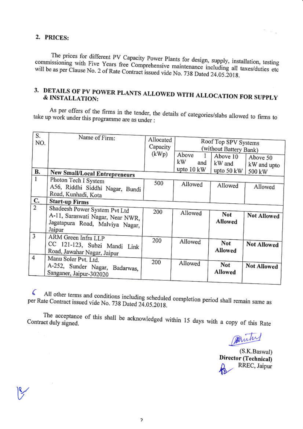#### 2. PRICES:

The prices for different PV Capacity Power Plants for design, supply, installation, testing commissioning with Five Years free Comprehensive maintenance including all taxes/duties etc will be as per Clause No. 2 of Rate Contract issued vide No. 738 Dated 24.05.2018.

# 3. DETAILS OF PV POWER PLANTS ALLOWED WITH ALLOCATION FOR SUPPLY & INSTALLATION:

As per offers of the firms in the tender, the details of categories/slabs allowed to firms to take up work under this programme are as under :

| S.<br>NO.<br>В. | Name of Firm:                                                                                                  | Allocated<br>Capacity<br>(kWp) | Roof Top SPV Systems<br>(without Battery Bank) |                                            |                                   |
|-----------------|----------------------------------------------------------------------------------------------------------------|--------------------------------|------------------------------------------------|--------------------------------------------|-----------------------------------|
|                 |                                                                                                                |                                | Above<br>kW<br>and<br>upto $10 \text{ kW}$     | Above 10<br>kW and<br>upto $50 \text{ kW}$ | Above 50<br>kW and upto<br>500 kW |
|                 | New Small/Local Entrepreneurs                                                                                  |                                |                                                |                                            |                                   |
|                 | Photon Tech I System<br>A56, Riddhi Siddhi Nagar, Bundi<br>Road, Kunhadi, Kota                                 | 500                            | Allowed                                        | Allowed                                    | Allowed                           |
| C.              | <b>Start-up Firms</b>                                                                                          |                                |                                                |                                            |                                   |
| $\overline{2}$  | Shadeesh Power System Pvt Ltd<br>A-11, Saraswati Nagar, Near NWR,<br>Jagatapura Road, Malviya Nagar,<br>Jaipur | 200                            | Allowed                                        | <b>Not</b><br>Allowed                      | <b>Not Allowed</b>                |
| $\overline{3}$  | ARM Green Infra LLP<br>CC 121-123, Subzi Mandi Link<br>Road, Jawahar Nagar, Jaipur                             | 200                            | Allowed                                        | <b>Not</b><br>Allowed                      | <b>Not Allowed</b>                |
| $\overline{4}$  | Manu Soler Pvt. Ltd.<br>A-252, Sunder Nagar, Badarwas,<br>Sanganer, Jaipur-302020                              | 200                            | Allowed                                        | <b>Not</b><br>Allowed                      | <b>Not Allowed</b>                |

All other terms and conditions including scheduled completion period shall remain same as  $\zeta$ per Rate Contract issued vide No. 738 Dated 24.05.2018.

The acceptance of this shall be acknowledged within 15 days with a copy of this Rate Contract duly signed.

Burk

(S.K.Baswal) Director (Technical) RREC, Jaipur